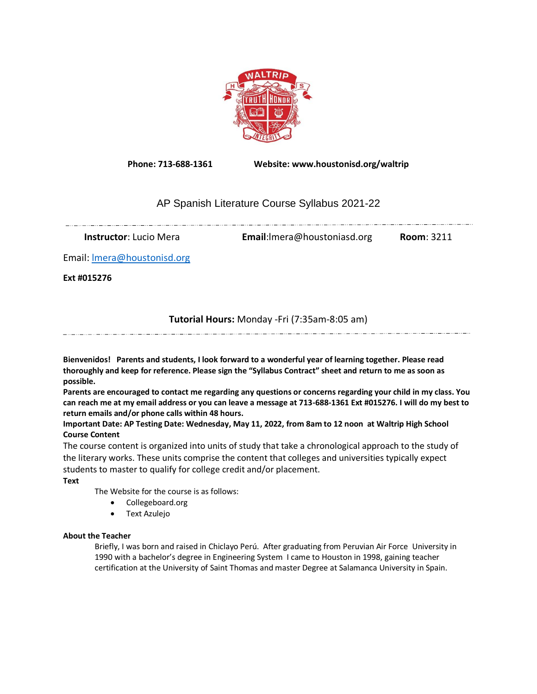

**Phone: 713-688-1361 Website: www.houstonisd.org/waltrip**

# AP Spanish Literature Course Syllabus 2021-22

<u> 1920-1920 - Alexandro Alexandro Alexandro Alexandro Alexandro Alexandro Alexandro Alexandro Alexandro Alexandr</u>

**Instructor**: Lucio Mera **Email**:lmera@houstoniasd.org **Room**: 3211

Email[: lmera@houstonisd.org](mailto:lmera@houstonisd.org)

**Ext #015276**

## **Tutorial Hours:** Monday -Fri (7:35am-8:05 am)

**Bienvenidos! Parents and students, I look forward to a wonderful year of learning together. Please read thoroughly and keep for reference. Please sign the "Syllabus Contract" sheet and return to me as soon as possible.** 

**Parents are encouraged to contact me regarding any questions or concerns regarding your child in my class. You can reach me at my email address or you can leave a message at 713-688-1361 Ext #015276. I will do my best to return emails and/or phone calls within 48 hours.**

**Important Date: AP Testing Date: Wednesday, May 11, 2022, from 8am to 12 noon at Waltrip High School Course Content**

The course content is organized into units of study that take a chronological approach to the study of the literary works. These units comprise the content that colleges and universities typically expect students to master to qualify for college credit and/or placement.

**Text**

The Website for the course is as follows:

- Collegeboard.org
- Text Azulejo

### **About the Teacher**

Briefly, I was born and raised in Chiclayo Perú. After graduating from Peruvian Air Force University in 1990 with a bachelor's degree in Engineering System I came to Houston in 1998, gaining teacher certification at the University of Saint Thomas and master Degree at Salamanca University in Spain.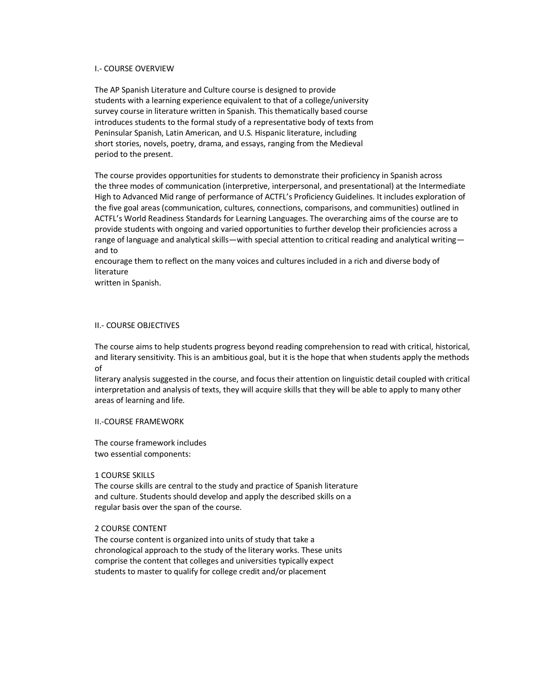### I.- COURSE OVERVIEW

The AP Spanish Literature and Culture course is designed to provide students with a learning experience equivalent to that of a college/university survey course in literature written in Spanish. This thematically based course introduces students to the formal study of a representative body of texts from Peninsular Spanish, Latin American, and U.S. Hispanic literature, including short stories, novels, poetry, drama, and essays, ranging from the Medieval period to the present.

The course provides opportunities for students to demonstrate their proficiency in Spanish across the three modes of communication (interpretive, interpersonal, and presentational) at the Intermediate High to Advanced Mid range of performance of ACTFL's Proficiency Guidelines. It includes exploration of the five goal areas (communication, cultures, connections, comparisons, and communities) outlined in ACTFL's World Readiness Standards for Learning Languages. The overarching aims of the course are to provide students with ongoing and varied opportunities to further develop their proficiencies across a range of language and analytical skills—with special attention to critical reading and analytical writing and to

encourage them to reflect on the many voices and cultures included in a rich and diverse body of literature

written in Spanish.

#### II.- COURSE OBJECTIVES

The course aims to help students progress beyond reading comprehension to read with critical, historical, and literary sensitivity. This is an ambitious goal, but it is the hope that when students apply the methods of

literary analysis suggested in the course, and focus their attention on linguistic detail coupled with critical interpretation and analysis of texts, they will acquire skills that they will be able to apply to many other areas of learning and life.

### II.-COURSE FRAMEWORK

The course framework includes two essential components:

#### 1 COURSE SKILLS

The course skills are central to the study and practice of Spanish literature and culture. Students should develop and apply the described skills on a regular basis over the span of the course.

### 2 COURSE CONTENT

The course content is organized into units of study that take a chronological approach to the study of the literary works. These units comprise the content that colleges and universities typically expect students to master to qualify for college credit and/or placement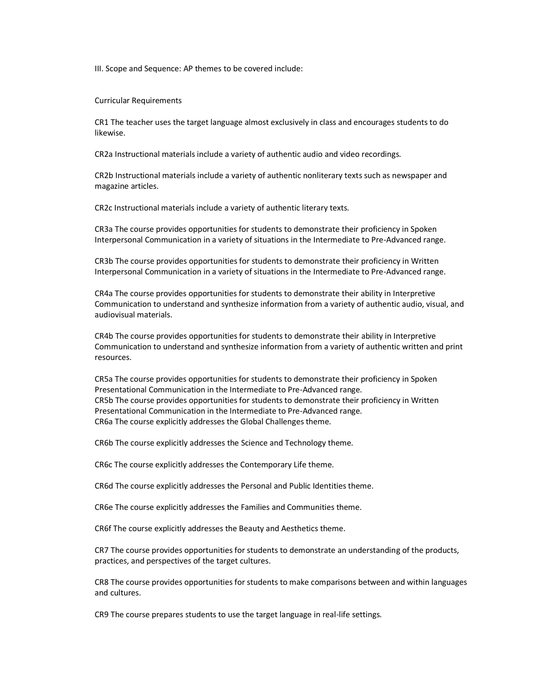III. Scope and Sequence: AP themes to be covered include:

Curricular Requirements

CR1 The teacher uses the target language almost exclusively in class and encourages students to do likewise.

CR2a Instructional materials include a variety of authentic audio and video recordings.

CR2b Instructional materials include a variety of authentic nonliterary texts such as newspaper and magazine articles.

CR2c Instructional materials include a variety of authentic literary texts.

CR3a The course provides opportunities for students to demonstrate their proficiency in Spoken Interpersonal Communication in a variety of situations in the Intermediate to Pre-Advanced range.

CR3b The course provides opportunities for students to demonstrate their proficiency in Written Interpersonal Communication in a variety of situations in the Intermediate to Pre-Advanced range.

CR4a The course provides opportunities for students to demonstrate their ability in Interpretive Communication to understand and synthesize information from a variety of authentic audio, visual, and audiovisual materials.

CR4b The course provides opportunities for students to demonstrate their ability in Interpretive Communication to understand and synthesize information from a variety of authentic written and print resources.

CR5a The course provides opportunities for students to demonstrate their proficiency in Spoken Presentational Communication in the Intermediate to Pre-Advanced range. CR5b The course provides opportunities for students to demonstrate their proficiency in Written Presentational Communication in the Intermediate to Pre-Advanced range. CR6a The course explicitly addresses the Global Challenges theme.

CR6b The course explicitly addresses the Science and Technology theme.

CR6c The course explicitly addresses the Contemporary Life theme.

CR6d The course explicitly addresses the Personal and Public Identities theme.

CR6e The course explicitly addresses the Families and Communities theme.

CR6f The course explicitly addresses the Beauty and Aesthetics theme.

CR7 The course provides opportunities for students to demonstrate an understanding of the products, practices, and perspectives of the target cultures.

CR8 The course provides opportunities for students to make comparisons between and within languages and cultures.

CR9 The course prepares students to use the target language in real-life settings.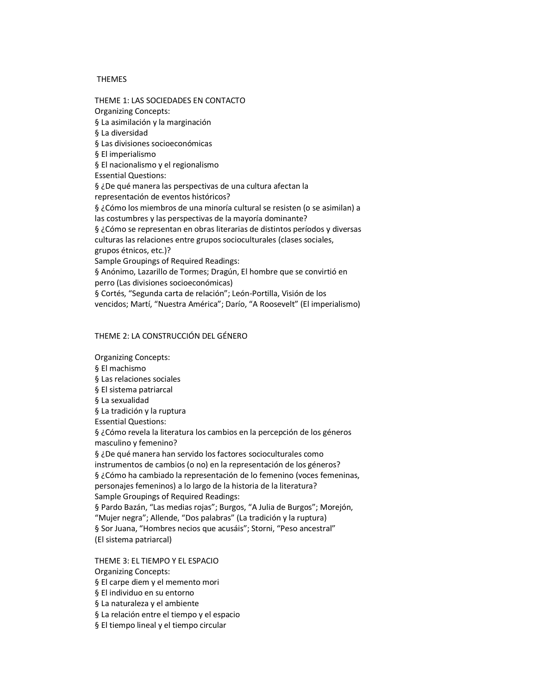### **THEMES**

THEME 1: LAS SOCIEDADES EN CONTACTO Organizing Concepts: § La asimilación y la marginación § La diversidad § Las divisiones socioeconómicas § El imperialismo § El nacionalismo y el regionalismo Essential Questions: § ¿De qué manera las perspectivas de una cultura afectan la representación de eventos históricos? § ¿Cómo los miembros de una minoría cultural se resisten (o se asimilan) a las costumbres y las perspectivas de la mayoría dominante? § ¿Cómo se representan en obras literarias de distintos períodos y diversas culturas las relaciones entre grupos socioculturales (clases sociales, grupos étnicos, etc.)? Sample Groupings of Required Readings: § Anónimo, Lazarillo de Tormes; Dragún, El hombre que se convirtió en perro (Las divisiones socioeconómicas) § Cortés, "Segunda carta de relación"; León-Portilla, Visión de los vencidos; Martí, "Nuestra América"; Darío, "A Roosevelt" (El imperialismo)

### THEME 2: LA CONSTRUCCIÓN DEL GÉNERO

Organizing Concepts: § El machismo § Las relaciones sociales § El sistema patriarcal § La sexualidad § La tradición y la ruptura Essential Questions: § ¿Cómo revela la literatura los cambios en la percepción de los géneros masculino y femenino? § ¿De qué manera han servido los factores socioculturales como instrumentos de cambios (o no) en la representación de los géneros? § ¿Cómo ha cambiado la representación de lo femenino (voces femeninas, personajes femeninos) a lo largo de la historia de la literatura? Sample Groupings of Required Readings: § Pardo Bazán, "Las medias rojas"; Burgos, "A Julia de Burgos"; Morejón, "Mujer negra"; Allende, "Dos palabras" (La tradición y la ruptura) § Sor Juana, "Hombres necios que acusáis"; Storni, "Peso ancestral" (El sistema patriarcal)

THEME 3: EL TIEMPO Y EL ESPACIO Organizing Concepts: § El carpe diem y el memento mori § El individuo en su entorno § La naturaleza y el ambiente

§ La relación entre el tiempo y el espacio

§ El tiempo lineal y el tiempo circular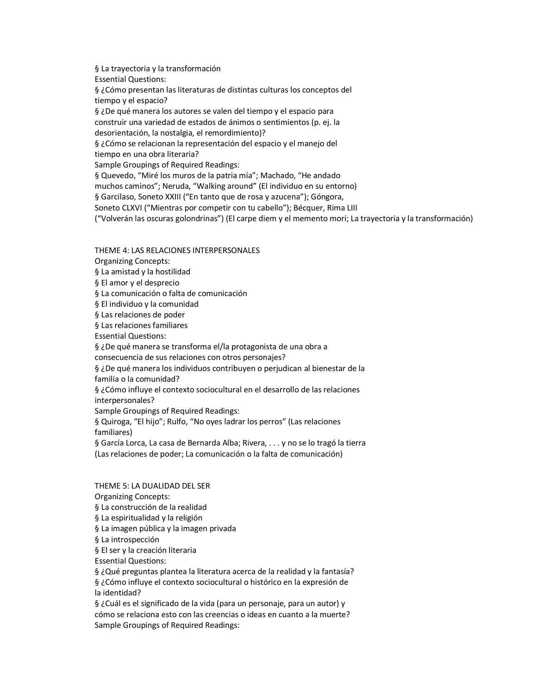§ La trayectoria y la transformación Essential Questions: § ¿Cómo presentan las literaturas de distintas culturas los conceptos del tiempo y el espacio?

§ ¿De qué manera los autores se valen del tiempo y el espacio para construir una variedad de estados de ánimos o sentimientos (p. ej. la desorientación, la nostalgia, el remordimiento)?

§ ¿Cómo se relacionan la representación del espacio y el manejo del tiempo en una obra literaria?

Sample Groupings of Required Readings:

§ Quevedo, "Miré los muros de la patria mía"; Machado, "He andado

muchos caminos"; Neruda, "Walking around" (El individuo en su entorno)

§ Garcilaso, Soneto XXIII ("En tanto que de rosa y azucena"); Góngora,

Soneto CLXVI ("Mientras por competir con tu cabello"); Bécquer, Rima LIII

("Volverán las oscuras golondrinas") (El carpe diem y el memento mori; La trayectoria y la transformación)

THEME 4: LAS RELACIONES INTERPERSONALES

Organizing Concepts:

§ La amistad y la hostilidad

§ El amor y el desprecio

§ La comunicación o falta de comunicación

§ El individuo y la comunidad

§ Las relaciones de poder

§ Las relaciones familiares

Essential Questions:

§ ¿De qué manera se transforma el/la protagonista de una obra a

consecuencia de sus relaciones con otros personajes?

§ ¿De qué manera los individuos contribuyen o perjudican al bienestar de la familia o la comunidad?

§ ¿Cómo influye el contexto sociocultural en el desarrollo de las relaciones interpersonales?

Sample Groupings of Required Readings:

§ Quiroga, "El hijo"; Rulfo, "No oyes ladrar los perros" (Las relaciones familiares)

§ García Lorca, La casa de Bernarda Alba; Rivera, . . . y no se lo tragó la tierra (Las relaciones de poder; La comunicación o la falta de comunicación)

THEME 5: LA DUALIDAD DEL SER

Organizing Concepts:

§ La construcción de la realidad

§ La espiritualidad y la religión

§ La imagen pública y la imagen privada

§ La introspección

§ El ser y la creación literaria

Essential Questions:

§ ¿Qué preguntas plantea la literatura acerca de la realidad y la fantasía?

§ ¿Cómo influye el contexto sociocultural o histórico en la expresión de la identidad?

§ ¿Cuál es el significado de la vida (para un personaje, para un autor) y cómo se relaciona esto con las creencias o ideas en cuanto a la muerte? Sample Groupings of Required Readings: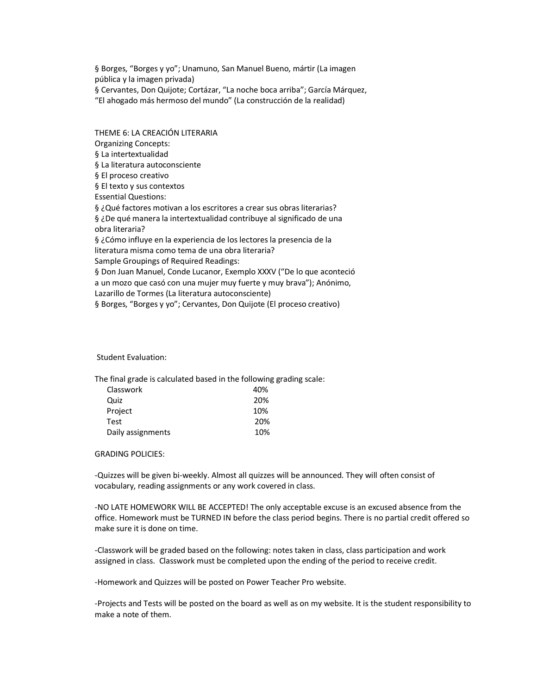§ Borges, "Borges y yo"; Unamuno, San Manuel Bueno, mártir (La imagen pública y la imagen privada) § Cervantes, Don Quijote; Cortázar, "La noche boca arriba"; García Márquez, "El ahogado más hermoso del mundo" (La construcción de la realidad)

THEME 6: LA CREACIÓN LITERARIA Organizing Concepts: § La intertextualidad § La literatura autoconsciente § El proceso creativo § El texto y sus contextos Essential Questions: § ¿Qué factores motivan a los escritores a crear sus obras literarias? § ¿De qué manera la intertextualidad contribuye al significado de una obra literaria? § ¿Cómo influye en la experiencia de los lectores la presencia de la literatura misma como tema de una obra literaria? Sample Groupings of Required Readings: § Don Juan Manuel, Conde Lucanor, Exemplo XXXV ("De lo que aconteció a un mozo que casó con una mujer muy fuerte y muy brava"); Anónimo, Lazarillo de Tormes (La literatura autoconsciente) § Borges, "Borges y yo"; Cervantes, Don Quijote (El proceso creativo)

#### Student Evaluation:

The final grade is calculated based in the following grading scale:

| Classwork         | 40% |
|-------------------|-----|
| Quiz              | 20% |
| Project           | 10% |
| <b>Test</b>       | 20% |
| Daily assignments | 10% |

GRADING POLICIES:

-Quizzes will be given bi-weekly. Almost all quizzes will be announced. They will often consist of vocabulary, reading assignments or any work covered in class.

-NO LATE HOMEWORK WILL BE ACCEPTED! The only acceptable excuse is an excused absence from the office. Homework must be TURNED IN before the class period begins. There is no partial credit offered so make sure it is done on time.

-Classwork will be graded based on the following: notes taken in class, class participation and work assigned in class. Classwork must be completed upon the ending of the period to receive credit.

-Homework and Quizzes will be posted on Power Teacher Pro website.

-Projects and Tests will be posted on the board as well as on my website. It is the student responsibility to make a note of them.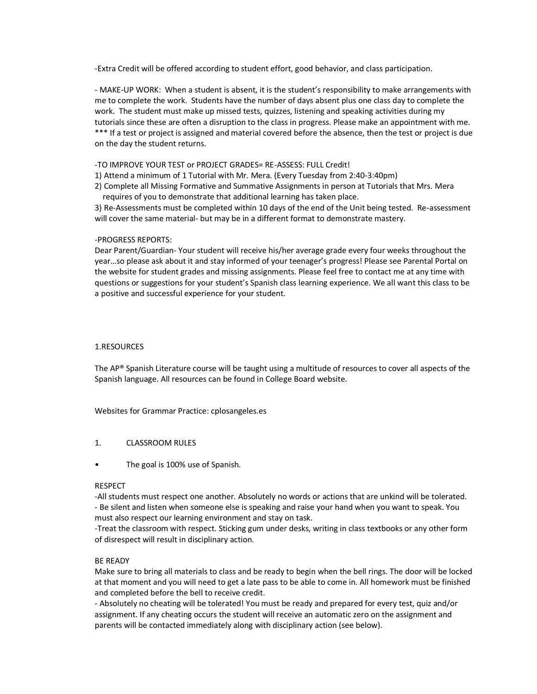-Extra Credit will be offered according to student effort, good behavior, and class participation.

- MAKE-UP WORK: When a student is absent, it is the student's responsibility to make arrangements with me to complete the work. Students have the number of days absent plus one class day to complete the work. The student must make up missed tests, quizzes, listening and speaking activities during my tutorials since these are often a disruption to the class in progress. Please make an appointment with me. \*\*\* If a test or project is assigned and material covered before the absence, then the test or project is due on the day the student returns.

### -TO IMPROVE YOUR TEST or PROJECT GRADES= RE-ASSESS: FULL Credit!

- 1) Attend a minimum of 1 Tutorial with Mr. Mera. (Every Tuesday from 2:40-3:40pm)
- 2) Complete all Missing Formative and Summative Assignments in person at Tutorials that Mrs. Mera requires of you to demonstrate that additional learning has taken place.

3) Re-Assessments must be completed within 10 days of the end of the Unit being tested. Re-assessment will cover the same material- but may be in a different format to demonstrate mastery.

### -PROGRESS REPORTS:

Dear Parent/Guardian- Your student will receive his/her average grade every four weeks throughout the year…so please ask about it and stay informed of your teenager's progress! Please see Parental Portal on the website for student grades and missing assignments. Please feel free to contact me at any time with questions or suggestions for your student's Spanish class learning experience. We all want this class to be a positive and successful experience for your student.

### 1.RESOURCES

The AP® Spanish Literature course will be taught using a multitude of resources to cover all aspects of the Spanish language. All resources can be found in College Board website.

Websites for Grammar Practice: cplosangeles.es

### 1. CLASSROOM RULES

• The goal is 100% use of Spanish.

### RESPECT

-All students must respect one another. Absolutely no words or actions that are unkind will be tolerated. - Be silent and listen when someone else is speaking and raise your hand when you want to speak. You must also respect our learning environment and stay on task.

-Treat the classroom with respect. Sticking gum under desks, writing in class textbooks or any other form of disrespect will result in disciplinary action.

### BE READY

Make sure to bring all materials to class and be ready to begin when the bell rings. The door will be locked at that moment and you will need to get a late pass to be able to come in. All homework must be finished and completed before the bell to receive credit.

- Absolutely no cheating will be tolerated! You must be ready and prepared for every test, quiz and/or assignment. If any cheating occurs the student will receive an automatic zero on the assignment and parents will be contacted immediately along with disciplinary action (see below).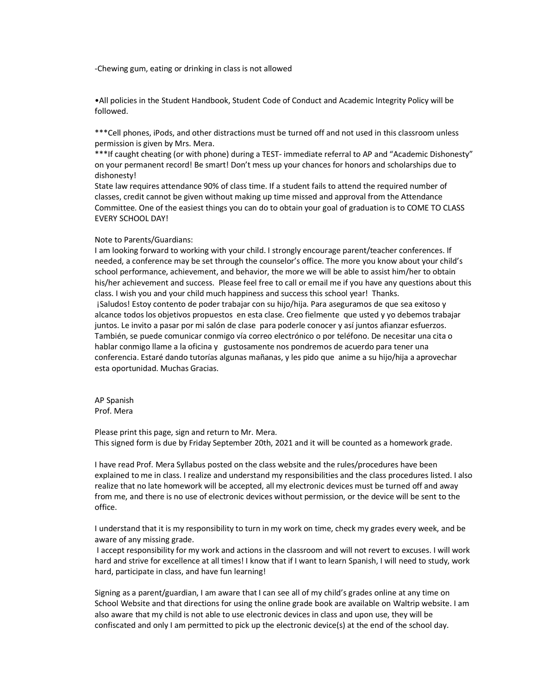-Chewing gum, eating or drinking in class is not allowed

•All policies in the Student Handbook, Student Code of Conduct and Academic Integrity Policy will be followed.

\*\*\*Cell phones, iPods, and other distractions must be turned off and not used in this classroom unless permission is given by Mrs. Mera.

\*\*\*If caught cheating (or with phone) during a TEST- immediate referral to AP and "Academic Dishonesty" on your permanent record! Be smart! Don't mess up your chances for honors and scholarships due to dishonesty!

State law requires attendance 90% of class time. If a student fails to attend the required number of classes, credit cannot be given without making up time missed and approval from the Attendance Committee. One of the easiest things you can do to obtain your goal of graduation is to COME TO CLASS EVERY SCHOOL DAY!

#### Note to Parents/Guardians:

I am looking forward to working with your child. I strongly encourage parent/teacher conferences. If needed, a conference may be set through the counselor's office. The more you know about your child's school performance, achievement, and behavior, the more we will be able to assist him/her to obtain his/her achievement and success. Please feel free to call or email me if you have any questions about this class. I wish you and your child much happiness and success this school year! Thanks. ¡Saludos! Estoy contento de poder trabajar con su hijo/hija. Para aseguramos de que sea exitoso y alcance todos los objetivos propuestos en esta clase. Creo fielmente que usted y yo debemos trabajar juntos. Le invito a pasar por mi salón de clase para poderle conocer y así juntos afianzar esfuerzos. También, se puede comunicar conmigo vía correo electrónico o por teléfono. De necesitar una cita o hablar conmigo llame a la oficina y gustosamente nos pondremos de acuerdo para tener una conferencia. Estaré dando tutorías algunas mañanas, y les pido que anime a su hijo/hija a aprovechar esta oportunidad. Muchas Gracias.

AP Spanish Prof. Mera

Please print this page, sign and return to Mr. Mera. This signed form is due by Friday September 20th, 2021 and it will be counted as a homework grade.

I have read Prof. Mera Syllabus posted on the class website and the rules/procedures have been explained to me in class. I realize and understand my responsibilities and the class procedures listed. I also realize that no late homework will be accepted, all my electronic devices must be turned off and away from me, and there is no use of electronic devices without permission, or the device will be sent to the office.

I understand that it is my responsibility to turn in my work on time, check my grades every week, and be aware of any missing grade.

I accept responsibility for my work and actions in the classroom and will not revert to excuses. I will work hard and strive for excellence at all times! I know that if I want to learn Spanish, I will need to study, work hard, participate in class, and have fun learning!

Signing as a parent/guardian, I am aware that I can see all of my child's grades online at any time on School Website and that directions for using the online grade book are available on Waltrip website. I am also aware that my child is not able to use electronic devices in class and upon use, they will be confiscated and only I am permitted to pick up the electronic device(s) at the end of the school day.